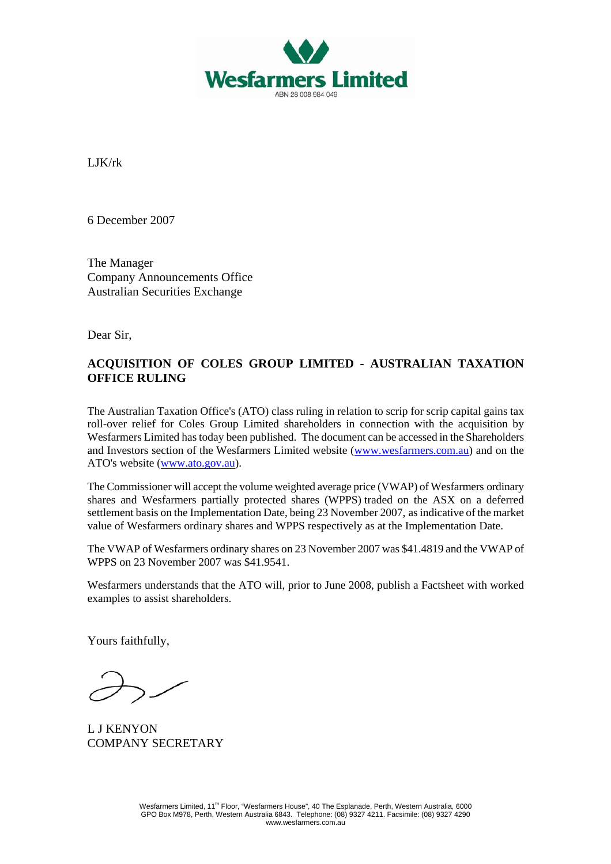

LJK/rk

6 December 2007

The Manager Company Announcements Office Australian Securities Exchange

Dear Sir,

## **ACQUISITION OF COLES GROUP LIMITED - AUSTRALIAN TAXATION OFFICE RULING**

The Australian Taxation Office's (ATO) class ruling in relation to scrip for scrip capital gains tax roll-over relief for Coles Group Limited shareholders in connection with the acquisition by Wesfarmers Limited has today been published. The document can be accessed in the Shareholders and Investors section of the Wesfarmers Limited website [\(www.wesfarmers.com.au\)](http://www.wesfarmers.com.au/) and on the ATO's website ([www.ato.gov.au\)](http://www.ato.gov.au/).

The Commissioner will accept the volume weighted average price (VWAP) of Wesfarmers ordinary shares and Wesfarmers partially protected shares (WPPS) traded on the ASX on a deferred settlement basis on the Implementation Date, being 23 November 2007, as indicative of the market value of Wesfarmers ordinary shares and WPPS respectively as at the Implementation Date.

The VWAP of Wesfarmers ordinary shares on 23 November 2007 was \$41.4819 and the VWAP of WPPS on 23 November 2007 was \$41.9541.

Wesfarmers understands that the ATO will, prior to June 2008, publish a Factsheet with worked examples to assist shareholders.

Yours faithfully,

L J KENYON COMPANY SECRETARY